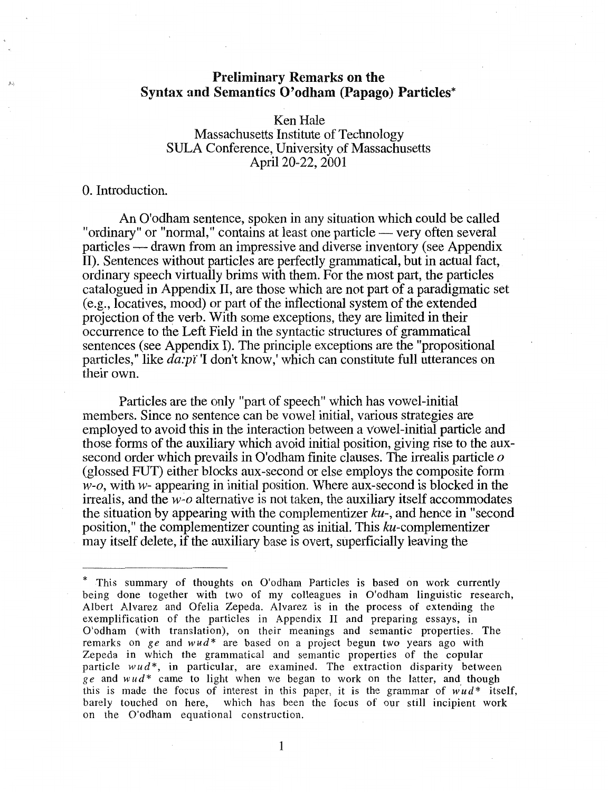# Preliminary Remarks on the Syntax and Semantics O'odham (Papago) Particles\*

# Ken Hale Massachusetts Institute of Technology SULA Conference, University of Massachusetts April 20-22, 2001

## 0. Introduction.

An O'odham sentence, spoken in any situation which could be called "ordinary" or "normal," contains at least one particle — very often several particles — drawn from an impressive and diverse inventory (see Appendix II). Sentences without particles are perfectly grammatical, but in actual fact, ordinary speech virtually brims with them. For the most part, the particles catalogued in Appendix II, are those which are not part of a paradigmatic set (e.g., locatives, mood) or part of the inflectional system of the extended projection of the verb. With some exceptions, they are limited in their occurrence to the Left Field in the syntactic structures of grammatical sentences (see Appendix I). The principle exceptions are the "propositional particles," like  $d\vec{a}$ : $\vec{p}$ i' I don't know,' which can constitute full utterances on their own.

Particles are the only "part of speech" which has vowel-initial members. Since no sentence can be vowel initial, various strategies are employed to avoid this in the interaction between a Vowel-initial particle and those forms of the auxiliary which avoid initial position, giving rise to the auxsecond order which prevails in O'odham finite clauses. The irrealis particle *o*  (glossed FUT) either blocks aux-second or else employs the composite form *w-o,* with *w-* appearing in initial position. Where aux-second is blocked in the irrealis, and the *w-o* alternative is not taken, the auxiliary itself accommodates the situation by appearing with the complementizer  $ku$ -, and hence in "second" position," the complementizer counting as initial. This ku-complementizer may itself delete, if the auxiliary base is overt, superficially leaving the

<sup>\*</sup> This summary of thoughts on O'odham Particles is based on work currently being done together with two of my colleagues in O'odham linguistic research, Albert Alvarez and Ofelia Zepeda. Alvarez is in the process of extending the exemplification of the particles in Appendix II and preparing essays, in O'odham (with translation), on their meanings and semantic properties. The remarks on *ge* and *wud*<sup>\*</sup> are based on a project begun two years ago with Zepeda in which the grammatical and semantic properties of the copular particle wud<sup>\*</sup>, in particular, are examined. The extraction disparity between *ge* and *wud\** came to light when we began to work on the latter, and though this is made the focus of interest in this paper, it is the grammar of  $w'ud^*$  itself, barely touched on here, which has been the focus of our still incipient work on the O'odham equational construction.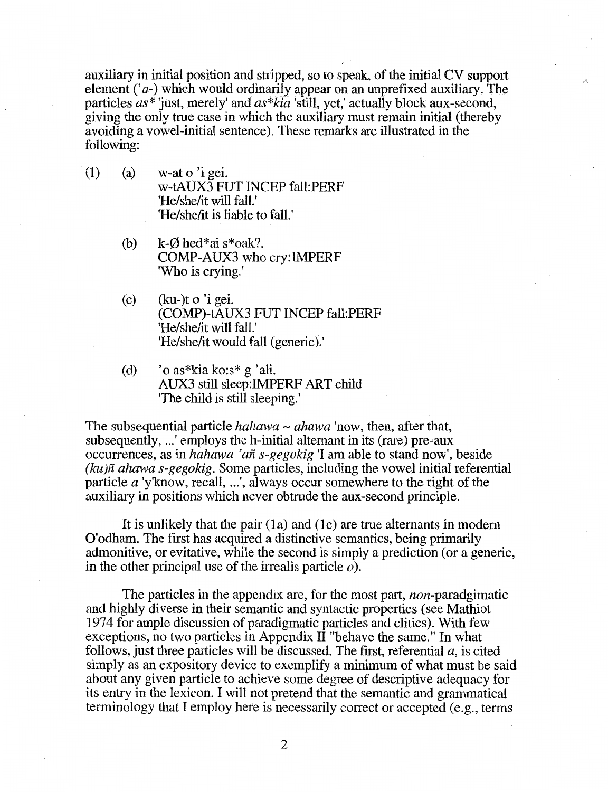auxiliary in initial position and stripped, so to speak, of the initial CV support element  $(a<sub>-</sub>)$  which would ordinarily appear on an unprefixed auxiliary. The particles *as\** 'just, merely' and *as\*kia* 'still, yet,' actually block aux-second, giving the only true case in which the auxiliary must remain initial (thereby avoiding a vowel-initial sentence). These remarks are illustrated in the following:

- (1) (a) w-at  $\sigma$  'i gei. w-tAUX3 FUT INCEP fall:PERF 'He/she/it will fall.' 'He/she/it is liable to fall.'
	- (b)  $k-\emptyset$  hed\*ai s\*oak?. COMP-AUX3 who cry:IMPERF 'Who is crying.'
	- (c)  $(ku-)$ t o 'i gei. (COMP)-tAUX3 FUT INCEP fall:PERF 'He/she/it will fall.' 'He/she/it would fall (generic).'
	- (d)  $\degree$  o as\*kia ko:s\* g 'ali. AUX3 still sleep:IMPERF ART child 'The child is still sleeping.'

The subsequential particle *hahawa* - *ahawa* 'now, then, after that, subsequently, ... ' employs the h-initial altemant in its (rare) pre-aux occurrences, as in *hahawa 'an s-gegokig* 'I am able to stand now', beside *(ku)fz ahawa s-gegokig.* Some particles, including the vowel initial referential particle *a* 'y'know, recall, ...', always occur somewhere to the right of the auxiliary in positions which never obtrude the aux-second principle.

It is unlikely that the pair (1a) and (1c) are true alternants in modern O'odham. The first has acquired a distinctive semantics, being primarily admonitive, or evitative, while the second is simply a prediction (or a generic, in the other principal use of the irrealis particle  $\varphi$ ).

The particles in the appendix are, for the most part, *non*-paradgimatic and highly diverse in their semantic and syntactic properties (see Mathiot 1974 for ample discussion of paradigmatic particles and clitics). With few exceptions, no two particles in Appendix II "behave the same." In what follows, just three particles will be discussed. The first, referential *a,* is cited simply as an expository device to exemplify a minimum of what must be said about any given particle to achieve some degree of descriptive adequacy for its entry in the lexicon. I will not pretend that the semantic and grammatical terminology that I employ here is necessarily correct or accepted (e.g., terms

2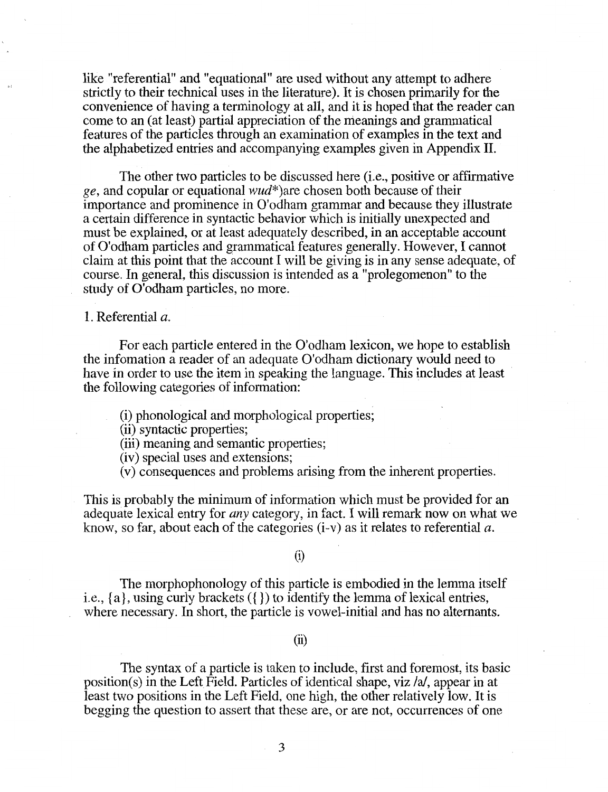like "referential" and "equational" are used without any attempt to adhere strictly to their technical uses in the literature). It is chosen primarily for the convenience of having a terminology at all, and it is hoped that the reader can come to an (at least) partial appreciation of the meanings and grammatical features of the particles through an examination of examples in the text and the alphabetized entries and accompanying examples given in Appendix II.

The other two particles to be discussed here (i.e., positive or affirmative ge, and copular or equational  $wud^*$ )are chosen both because of their importance and prominence in O'odham grammar and because they illustrate a certain difference in syntactic behavior which is initially unexpected and must be explained, or at least adequately described, in an acceptable account of O'odham particles and grammatical features generally. However, I cannot claim at this point that the account I will be giving is in any sense adequate, of course. In general, this discussion is intended as a "prolegomenon" to the study of O'odham particles, no more.

1. Referential a.

For each particle entered in the O'odham lexicon, we hope to establish the infomation a reader of an adequate O'odham dictionary would need to have in order to use the item in speaking the language. This includes at least the following categories of information:

(i) phonological and morphological properties;

(ii) syntactic properties;

(iii) meaning and semantic properties;

(iv) special uses and extensions;

(v) consequences and problems arising from the inherent properties.

This is probably the minimum of information which must be provided for an adequate lexical entry for *any* category, in fact. I will remark now on what we know, so far, about each of the categories (i-v) as it relates to referential *a.* 

#### (i)

The morphophonology of this particle is embodied in the lemma itself i.e., {a}, using curly brackets ({}) to identify the lemma of lexical entries, where necessary. In short, the particle is vowel-initial and has no altemants.

(ii)

The syntax of a particle is taken to include, first and foremost, its basic position(s) in the Left Field. Particles of identical shape, viz /a/, appear in at least two positions in the Left Field, one high, the other relatively low. It is begging the question to assert that these are, or are not, occurrences of one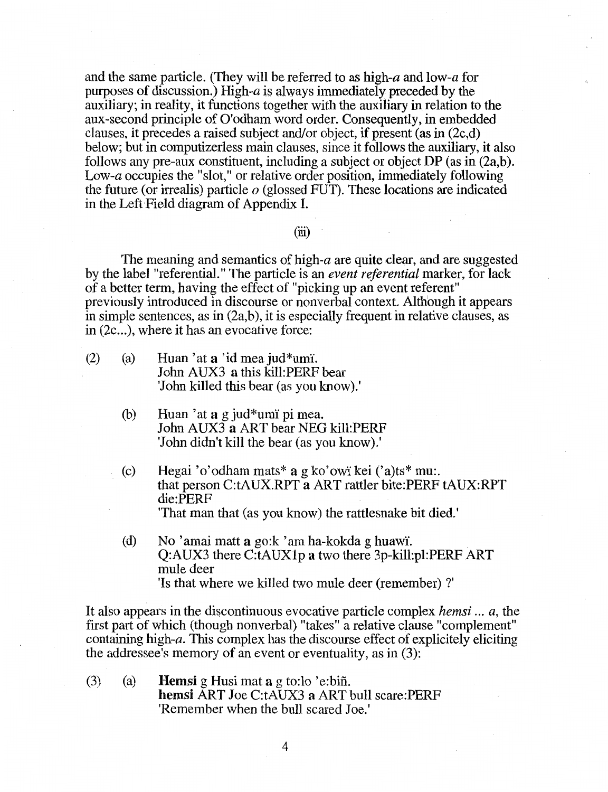and the same particle. (They will be referred to as high-a and low-a for purposes of discussion.) High-a is always immediately preceded by the auxiliary; in reality, it functions together with the auxiliary in relation to the aux-second principle of O'odham word order. Consequently, in embedded clauses, it precedes a raised subject and/or object, if present (as in (2c,d) below; but in computizerless main clauses, since it follows the auxiliary, it also follows any pre-aux constituent, including a subject or object DP (as in (2a,b). Low-a occupies the "slot," or relative order position, immediately following the future (or irrealis) particle  $o$  (glossed FUT). These locations are indicated in the Left Field diagram of Appendix I.

(iii)

The meaning and semantics of high-a are quite clear, and are suggested by the label "referential." The particle is an *event referential* marker, for lack of a better term, having the effect of "picking up an event referent" previously introduced in discourse or nonverbal context. Although it appears in simple sentences, as in (2a,b), it is especially frequent in relative clauses, as in  $(2c...)$ , where it has an evocative force:

- (2) (a) Huan 'at a 'id mea jud $*$ umi'. John AUX3 a this kill:PERF bear 'John killed this bear (as you know).'
	- (b) Huan 'at  $a \nvert a$  jud \*umi pi mea. John AUX3 a ART bear NEG kill:PERF 'John didn't kill the bear (as you know).'
	- (c) Hegai 'o'odham mats\* a g ko'owi kei  $('a)$ ts\* mu:. that person C:tAUX.RPT a ART rattler bite:PERF tAUX:RPT die:PERF 'That man that (as you know) the rattlesnake bit died.'
	- (d) No 'amai matt a go: $k$  'am ha-kokda g huawi. Q:AUX3 there C:tAUXl p a two there 3p-kill:pl:PERF ART mule deer 'Is that where we killed two mule deer (remember)?'

It also appears in the discontinuous evocative particle complex *hemsi* ... *a,* the first part of which (though nonverbal) "takes" a relative clause "complement" containing high-a. This complex has the discourse effect of explicitely eliciting the addressee's memory of an event or eventuality, as in (3):

(3) (a) **Hemsi** g Husi mat **a** g to:lo 'e:biñ. hemsi ART Joe C:tAUX3 a ART bull scare:PERF 'Remember when the bull scared Joe.'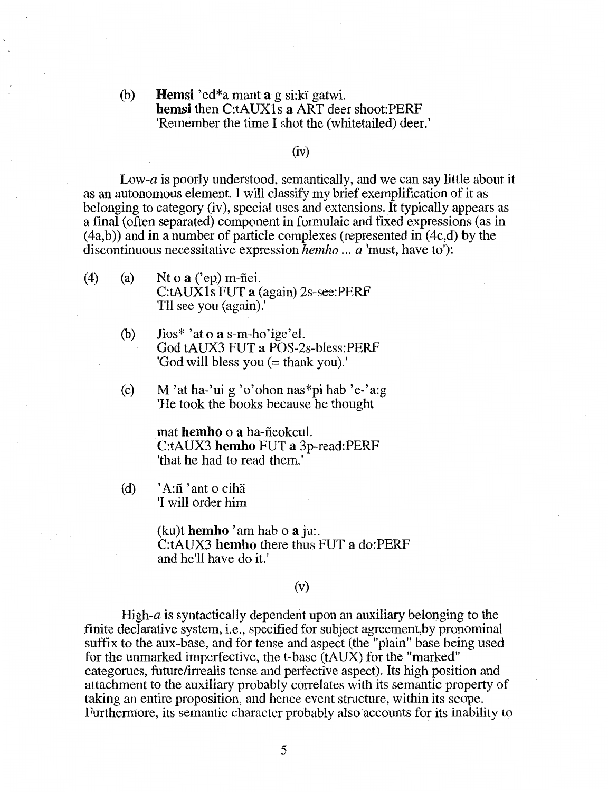(b) Hemsi 'ed\*a manta g si:ki gatwi. hemsi then C:tAUX1s a ART deer shoot:PERF 'Remember the time I shot the (whitetailed) deer.'

## (iv)

*Low-a* is poorly understood, semantically, and we can say little about it as an autonomous element. I will classify my brief exemplification of it as belonging to category (iv), special uses and extensions. It typically appears as a final (often separated) component in formulaic and fixed expressions (as in  $(4a,b)$ ) and in a number of particle complexes (represented in  $(4c,d)$  by the discontinuous necessitative expression *hemho* ... *a* 'must, have to'):

- (4) (a) Nt o  $\mathbf{a}$  ('ep) m-fiei. C:tAUXls FUT a (again) 2s-see:PERF 'I'll see you (again).'
	- (b) Jios\* 'at o a s-m-ho'ige'el. God tAUX3 FUT a POS-2s-bless:PERF 'God will bless you (= thank you).'
	- (c) M 'at ha-'ui g 'o'ohon nas\*pi hab 'e-'a:g 'He took the books because he thought

mat hemho o a ha-fieokcul. C:tAUX3 hemho FUT a 3p-read:PERF 'that he had to read them.'

(d)  $'A:\tilde{n}$  'ant o ciha 'I will order him

> (ku)t hemho 'am hab o  $a$  ju:. C:tAUX3 hemho there thus FUT a do:PERF and he'll have do it.'

#### (v)

High- $a$  is syntactically dependent upon an auxiliary belonging to the finite declarative system, i.e., specified for subject agreement,by pronominal suffix to the aux-base, and for tense and aspect (the "plain" base being used for the unmarked imperfective, the t-base (tAUX) for the "marked" categorues, future/irrealis tense and perfective aspect). Its high position and attachment to the auxiliary probably correlates with its semantic property of taking an entire proposition, and hence event structure, within its scope. Furthermore, its semantic character probably also accounts for its inability to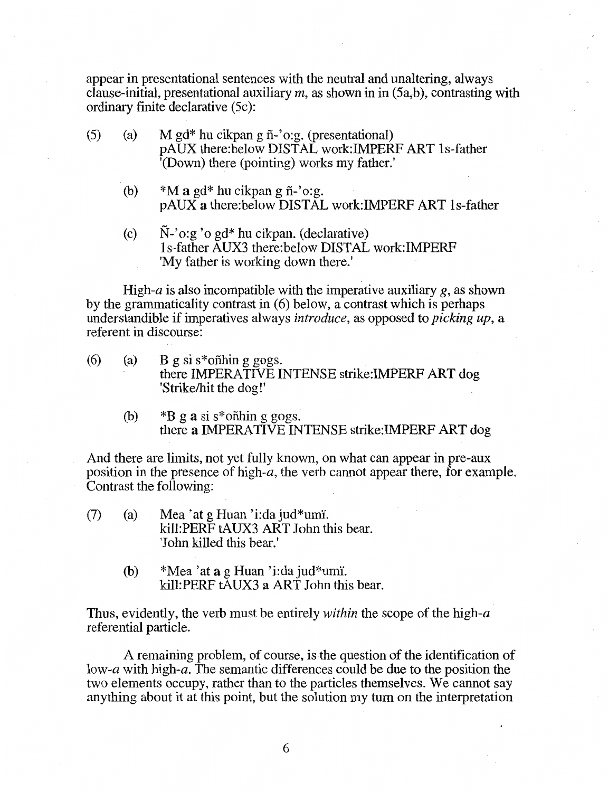appear in presentational sentences with the neutral and unaltering, always clause-initial, presentational auxiliary *m,* as shown in in (5a,b), contrasting with ordinary finite declarative (5c):

- (5) (a) M gd\* hu cikpan g fi-'o:g. (presentational) pAUX there:below DISTAL work:IMPERF ART ls-father '(Down) there (pointing) works my father.'
	- (b)  $*M$  a gd\* hu cikpan g  $\tilde{n}$ -'o:g. pAUX a there:below DISTAL work:IMPERF ART ls-father
	- (c) N-'o:g 'o gd\* hu cikpan. (declarative) ls-father AUX3 there:below DISTAL work:IMPERF 'My father is working down there.'

High-a is also incompatible with the imperative auxiliary  $g$ , as shown by the grammaticality contrast in (6) below, a contrast which is perhaps understandible if imperatives always *introduce,* as opposed to *picking up,* a referent in discourse:

- (6) (a) B g si s\*on fining gogs. there IMPERATIVE INTENSE strike:IMPERF ART dog 'Strike/hit the dog!'
	- (b)  $*B$  g a si s\*onthin g gogs. there a IMPERATIVE INTENSE strike:IMPERF ART dog

And there are limits, not yet fully known, on what can appear in pre-aux position in the presence of high-a, the verb cannot appear there, for example. Contrast the following:

- (7) (a) Mea 'at g Huan 'i:da jud\*um1. kill:PERF tAUX3 ART John this bear. 'John killed this bear.'
	- (b)  $*Mea'at a g Huan'i:da jud*umi.$ kill:PERF tAUX3 a ART John this bear.

Thus, evidently, the verb must be entirely *within* the scope of the high-a referential particle.

A remaining problem, of course, is the question of the identification of low-a with high-a. The semantic differences could be due to the position the two elements occupy, rather than to the particles themselves. We cannot say anything about it at this point, but the solution my tum on the interpretation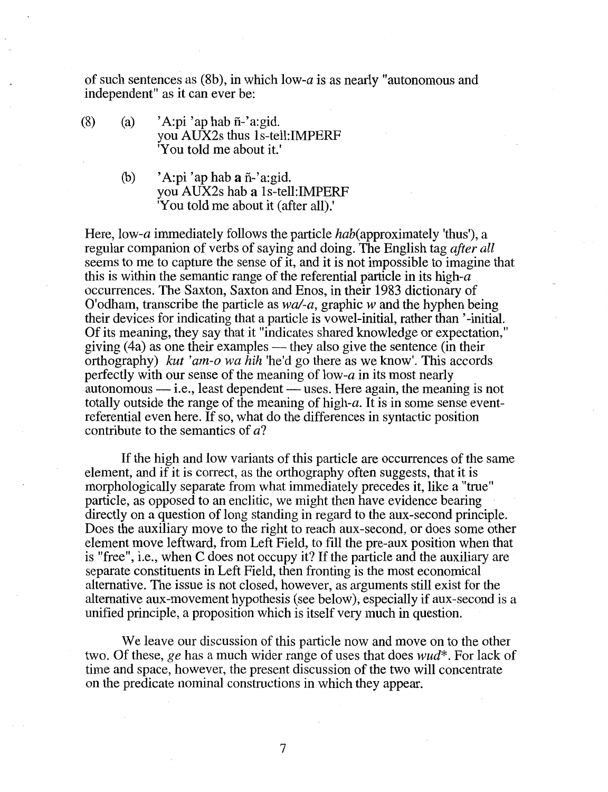of such sentences as (8b), in which low-a is as nearly "autonomous and independent" as it can ever be:

- (8) (a) 'A:pi 'ap hab  $\tilde{n}$ -'a:gid. you AUX2s thus ls-tell:IMPERF 'You told me about it.'
	- (b)  $'A:pi'$  ap hab a  $ñ$ -'a: gid. you AUX2s hab a ls-tell:IMPERF 'You told me about it (after all).'

Here, low-*a* immediately follows the particle *hab*(approximately 'thus'), a regular companion of verbs of saying and doing. The English tag *after all*  seems to me to capture the sense of it, and it is not impossible to imagine that this is within the semantic range of the referential particle in its high- $a$ occurrences. The Saxton, Saxton and Enos, in their 1983 dictionary of O'odham, transcribe the particle as *wa/-a,* graphic wand the hyphen being their devices for indicating that a particle is vowel-initial, rather than '-initial. Of its meaning, they say that it "indicates shared knowledge or expectation," giving  $(4a)$  as one their examples — they also give the sentence (in their orthography) *kut 'am-o wa hih* 'he'd go there as we know'. This accords perfectly with our sense of the meaning of low- $\alpha$  in its most nearly  $a$ utonomous — i.e., least dependent — uses. Here again, the meaning is not totally outside the range of the meaning of high-a. It is in some sense eventreferential even here. If so, what do the differences in syntactic position contribute to the semantics of *a?* 

If the high and low variants of this particle are occurrences of the same element, and if it is correct, as the orthography often suggests, that it is morphologically separate from what immediately precedes it, like a "true" particle, as opposed to an enclitic, we might then have evidence bearing directly on a question of long standing in regard to the aux-second principle. Does the auxiliary move to the right to reach aux-second, or does some other element move leftward, from Left Field, to fill the pre-aux position when that is "free", i.e., when C does not occupy it? If the particle and the auxiliary are separate constituents in Left Field, then fronting is the most economical alternative. The issue is not closed, however, as arguments still exist for the alternative aux-movement hypothesis (see below), especially if aux-second is a unified principle, a proposition which is itself very much in question.

We leave our discussion of this particle now and move on to the other two. Of these, *ge* has a much wider range of uses that does *wud\*.* For lack of time and space, however, the present discussion of the two will concentrate on the predicate nominal constructions in which they appear.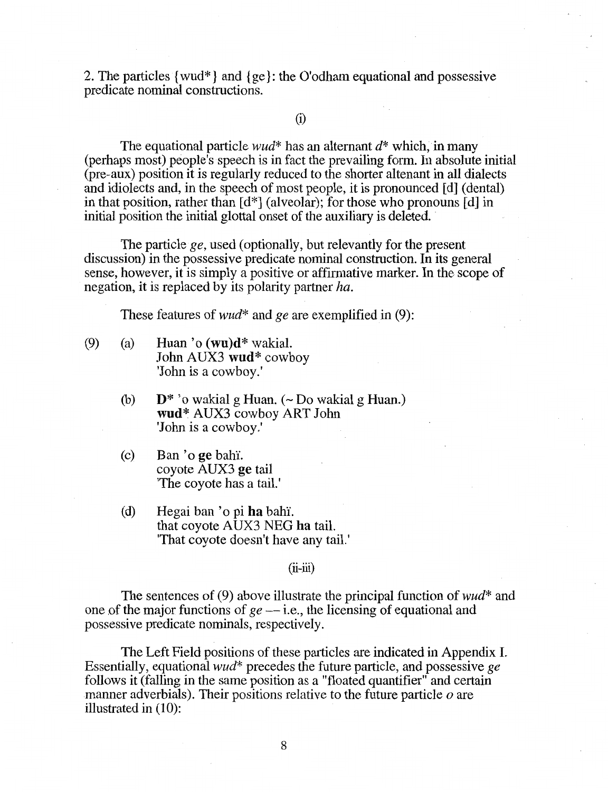2. The particles { wud\*} and { ge}: the O'odham equational and possessive predicate nominal constructions.

(i)

The equational particle *wud*\* has an alternant  $d^*$  which, in many (perhaps most) people's speech is in fact the prevailing form. In absolute initial (pre-aux) position it is regularly reduced to the shorter altenant in all dialects and idiolects and, in the speech of most people, it is pronounced [d] (dental) in that position, rather than [d\*] (alveolar); for those who pronouns [d] in initial position the initial glottal onset of the auxiliary is deleted.

The particle *ge,* used (optionally, but relevantly for the present discussion) in the possessive predicate nominal construction. In its general sense, however, it is simply a positive or affirmative marker. In the scope of negation, it is replaced by its polarity partner *ha.* 

These features of *wud\** and *ge* are exemplified in (9):

- (9) (a) Huan 'o  $(\mathbf{w}\mathbf{u})\mathbf{d}^*$  wakial. John AUX3 wud\* cowboy 'John is a cowboy.'
	- (b)  $D^*$  'o wakial g Huan. ( $\sim$  Do wakial g Huan.) **wud\*** AUX3 cowboy ART John 'John is a cowboy.'
	- (c) Ban 'o ge bahY. coyote AUX3 ge tail 'The coyote has a tail.'
	- (d) Hegai ban 'o pi ha bahi. that coyote AUX3 NEG ha tail. 'That coyote doesn't have any tail.'

#### $(ii-iii)$

The sentences of (9) above illustrate the principal function of *wud\** and one of the major functions of  $ge$   $-$  i.e., the licensing of equational and possessive predicate nominals, respectively.

The Left Field positions of these particles are indicated in Appendix I. Essentially, equational *wud\** precedes the future particle, and possessive *ge*  follows it (falling in the same position as a "floated quantifier" and certain manner adverbials). Their positions relative to the future particle *o* are illustrated in (10):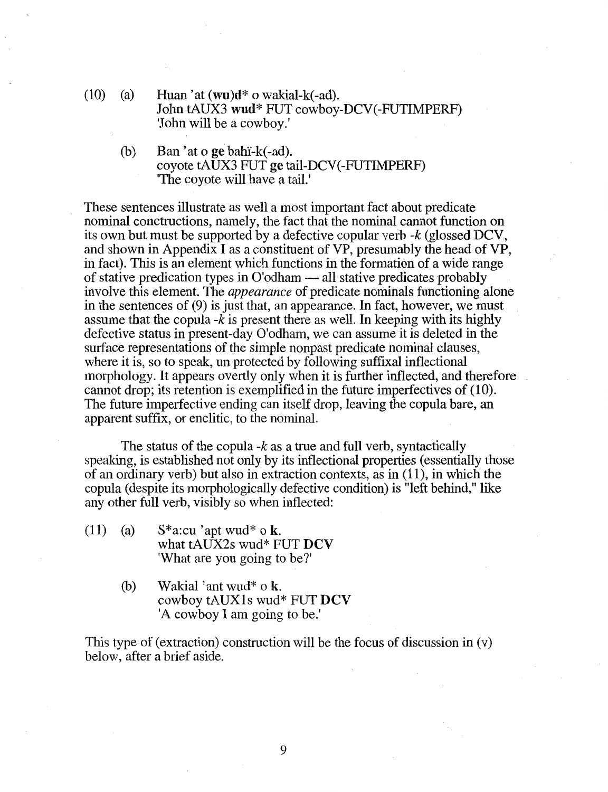- (10) (a) Huan 'at  $(wu)d^*$  o wakial-k(-ad). John tAUX3 wud\* FUT cowboy-DCV(-FUTIMPERF) 'John will be a cowboy.'
	- (b) Ban 'at o ge bahi- $k(-ad)$ . coyote tAUX3 FUT ge tail-DCV(-FUTIMPERF) 'The coyote will have a tail.'

These sentences illustrate as well a most important fact about predicate nominal conctructions, namely, the fact that the nominal cannot function on its own but must be supported by a defective copular verb  $-k$  (glossed DCV, and shown in Appendix I as a constituent of VP, presumably the head of VP, in fact). This is an element which functions in the formation of a wide range of stative predication types in  $O'$  odham  $-$  all stative predicates probably involve this element. The *appearance* of predicate nominals functioning alone in the sentences of (9) is just that, an appearance. In fact, however, we must assume that the copula *-k* is present there as well. In keeping with its highly defective status in present-day O'odham, we can assume it is deleted in the surface representations of the simple nonpast predicate nominal clauses, where it is, so to speak, un protected by following suffixal inflectional morphology. It appears overtly only when it is further inflected, and therefore cannot drop; its retention is exemplified in the future imperfectives of (10). The future imperfective ending can itself drop, leaving the copula bare, an apparent suffix, or enclitic, to the nominal.

The status of the copula *-k* as a true and full verb, syntactically speaking, is established not only by its inflectional properties (essentially those of an ordinary verb) but also in extraction contexts, as in (11 ), in which the copula (despite its morphologically defective condition) is "left behind," like any other full verb, visibly so when inflected:

- (11) (a)  $S^*$ a:cu 'apt wud\* o k. what tAUX2s wud\* FUT  $DCV$ 'What are you going to be?'
	- (b) Wakial 'ant wud\* o k. cowboy tAUXls wud\* FUT DCV 'A cowboy I am going to be.'

This type of (extraction) construction will be the focus of discussion in (v) below, after a brief aside.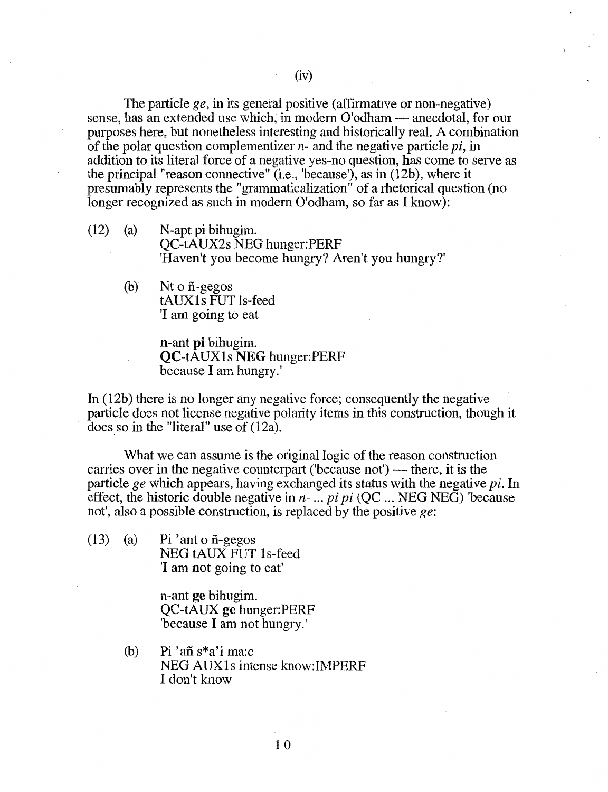The particle *ge,* in its general positive (affirmative or non-negative) sense, has an extended use which, in modern O'odham — anecdotal, for our purposes here, but nonetheless interesting and historically real. A combination of the polar question complementizer n- and the negative particle *pi,* in addition to its literal force of a negative yes-no question, has come to serve as the principal "reason connective" (i.e., 'because'), as in (12b), where it presumably represents the "grammaticalization" of a rhetorical question (no longer recognized as such in modern O'odham, so far as I know):

- (12) (a) N-apt pi bihugim. QC-tAUX2s NEG hunger:PERF 'Haven't you become hungry? Aren't you hungry?'
	- (b) Nt o fi-gegos tAUX1s FUT ls-feed 'I am going to eat

n-ant pi bihugim. QC-tAUXls NEG hunger:PERF because I am hungry.'

In (12b) there is no longer any negative force; consequently the negative particle does not license negative polarity items in this construction, though it does so in the "literal" use of (12a).

What we can assume is the original logic of the reason construction carries over in the negative counterpart ('because not') — there, it is the particle *ge* which appears, having exchanged its status with the negative *pi.* In effect, the historic double negative in  $n-$ ... pi pi (QC ... NEG NEG) 'because not', also a possible construction, is replaced by the positive *ge:* 

(13) (a) Pi 'ant o  $\tilde{n}$ -gegos NEG tAUX FUT 1s-feed 'I am not going to eat'

> n-ant ge bihugim. QC-tAUX ge hunger:PERF 'because I am not hungry.'

(b) Pi 'afi s\*a'i ma:c NEG AUXls intense know:IMPERF I don't know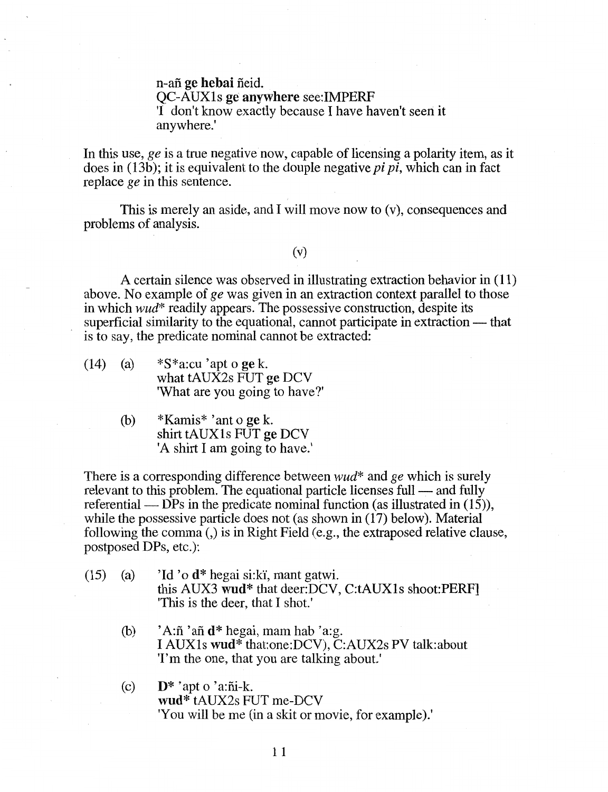n-afi ge hebai fieid. QC-AUXls ge anywhere see:IMPERF 'I don't know exactly because I have haven't seen it anywhere.'

In this use, *ge* is a true negative now, capable of licensing a polarity item, as it does in (13b); it is equivalent to the douple negative *pi pi*, which can in fact replace *ge* in this sentence.

This is merely an aside, and I will move now to (v), consequences and problems of analysis.

# (v)

A certain silence was observed in illustrating extraction behavior in (11) above. No example of *ge* was given in an extraction context parallel to those in which *wud\** readily appears. The possessive construction, despite its superficial similarity to the equational, cannot participate in extraction — that is to say, the predicate nominal cannot be extracted:

- (14) (a)  $*S*$ a:cu 'apt o ge k. what tAUX2s FUT ge DCV 'What are you going to have?'
	- (b) \*Kamis\* 'ant o ge k. shirt tAUX1s FUT ge DCV 'A shirt I am going to have.'

There is a corresponding difference between *wud\** and *ge* which is surely relevant to this problem. The equational particle licenses full — and fully referential — DPs in the predicate nominal function (as illustrated in  $(15)$ ), while the possessive particle does not (as shown in (17) below). Material following the comma (,) is in Right Field (e.g., the extraposed relative clause, postposed DPs, etc.):

- (15) (a) 'Id 'o  $d^*$  hegai si:ki, mant gatwi. this AUX3 wud\* that deer:DCV, C:tAUXls shoot:PERF] 'This is the deer, that I shot.'
	- (b)  $'A:\tilde{n}$  'and  $d^*$  hegai, mam hab 'a:g. I AUXls wud\* that:one:DCV), C:AUX2s PV talk:about 'I'm the one, that you are talking about.'
	- (c)  $\mathbf{D}^*$  'apt o 'a:ni-k. wud\* tAUX2s FUT me-DCV 'You will be me (in a skit or movie, for example).'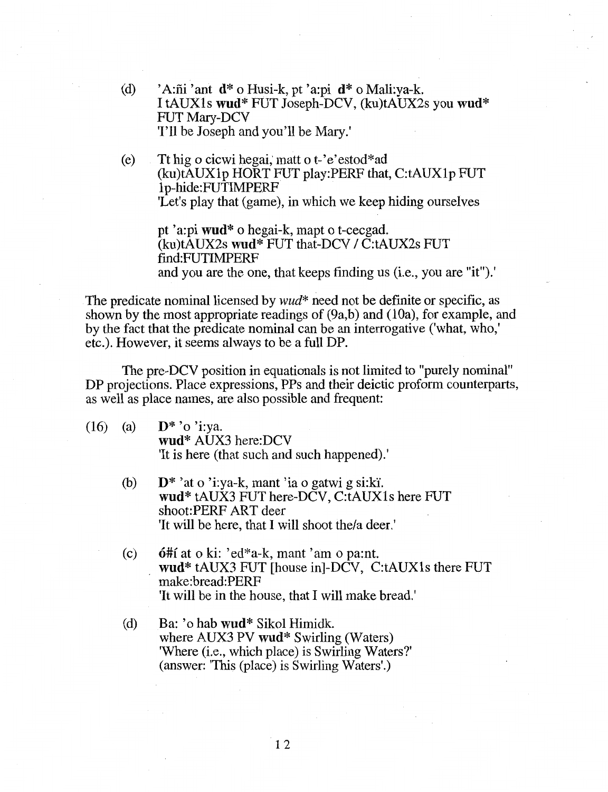- (d) 'A:fii' ant  $d^*$  o Husi-k, pt'a:pi  $d^*$  o Mali:va-k. I tAUXls wud\* FUT Joseph-DCV, (ku)tAUX2s you wud\* FUT Mary-DCV 'I'll be Joseph and you'll be Mary.'
- (e) Tt hig o cicwi hegai; matt o t-'e'estod\*ad (ku)tAUXlp HORT FUT play:PERF that, C:tAUXlp FUT 1 p-hide:FUTIMPERF 'Let's play that (game), in which we keep hiding ourselves

pt 'a:pi wud\* o hegai-k, mapt o t-cecgad. (ku)tAUX2s wud\* FUT that-DCV I C:tAUX2s FUT find:FUTIMPERF and you are the one, that keeps finding us (i.e., you are "it").'

The predicate nominal licensed by *wud\** need not be definite or specific, as shown by the most appropriate readings of (9a,b) and (10a), for example, and by the fact that the predicate nominal can be an interrogative ('what, who,' etc.). However, it seems always to be a full DP.

The pre-DCV position in equationals is not limited to "purely nominal" DP projections. Place expressions, PPs and their deictic proform counterparts, as well as place names, are also possible and frequent:

- (16) (a)  $\mathbf{D}^*$  'o 'i:ya. wud\* AUX3 here:DCV 'It is here (that such and such happened).'
	- (b)  $\mathbf{D}^*$  'at o 'i:ya-k, mant 'ia o gatwi g si:ki'. wud\* tAUX3 FUT here-DCV, C:tAUXls here FUT shoot:PERF ART deer 'It will be here, that I will shoot the/a deer.'
	- (c) 6#1 at o ki: 'ed\*a-k, mant 'am o pa:nt. wud\* tAUX3 FUT [house in]-DCV, C:tAUXls there FUT make:bread:PERF 'It will be in the house, that I will make bread.'
	- (d) Ba: 'o hab wud\* Sikol Himidk. where AUX3 PV wud<sup>\*</sup> Swirling (Waters) 'Where (i.e., which place) is Swirling Waters?' (answer: 'This (place) is Swirling Waters'.)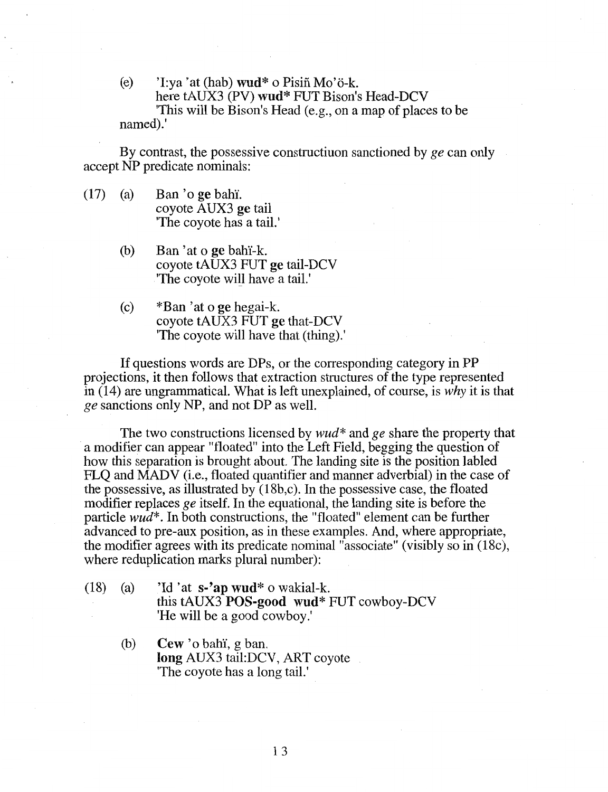(e)  $\dot{ }$  'I:ya 'at (hab) wud\* o Pisiñ Mo'ö-k. here tAUX3 (PV) wud\* FUT Bison's Head-DCV 'This will be Bison's Head (e.g., on a map of places to be named).'

By contrast, the possessive constructiuon sanctioned by *ge* can only accept NP predicate nominals:

- $(17)$  (a) Ban 'o ge bahi. coyote AUX3 ge tail 'The coyote has a tail.'
	- (b) Ban 'at o ge bahi-k. coyote tAUX3 FUT ge tail-DCV The coyote will have a tail.
	- (c) \*Ban 'at o ge hegai-k. coyote tAUX3 FUT ge that-DCV 'The coyote will have that (thing).'

If questions words are DPs, or the corresponding category in PP projections, it then follows that extraction structures of the type represented in (14) are ungrammatical. What is left unexplained, of course, is *why* it is that *ge* sanctions only NP, and not DP as well.

The two constructions licensed by *wud\** and *ge* share the property that a modifier can appear "floated" into the Left Field, begging the question of how this separation is brought about. The landing site is the position labled FLQ and MADY (i.e., floated quantifier and manner adverbial) in the case of the possessive, as illustrated by (18b,c). In the possessive case, the floated modifier replaces *ge* itself. In the equational, the landing site is before the particle *wud\*.* In both constructions, the "floated" element can be further advanced to pre-aux position, as in these examples. And, where appropriate, the modifier agrees with its predicate nominal "associate" (visibly so in (18c), where reduplication marks plural number):

- (18) (a) 'Id 'at  $s$ -'ap wud\* o wakial-k. this tAUX3  $POS$ -good wud\* FUT cowboy-DCV 'He will be a good cowboy.'
	- (b) Cew 'o bah'i, g ban. long AUX3 tail:DCV, ART coyote 'The coyote has a long tail.'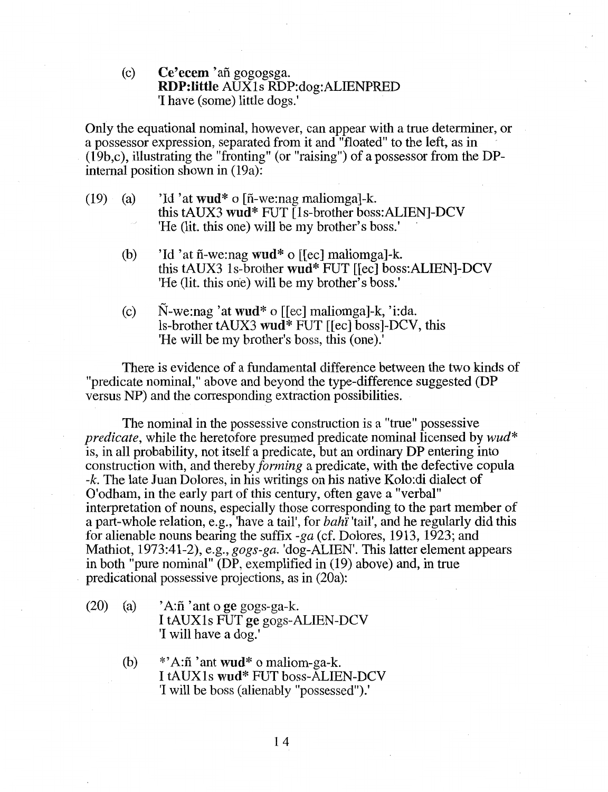(c) Ce'ecem 'afi gogogsga. RDP:little AUXls RDP:dog:ALIENPRED 'I have (some) little dogs.'

Only the equational nominal, however, can appear with a true determiner, or a possessor expression, separated from it and "floated" to the left, as in (19b,c), illustrating the "fronting" (or "raising") of a possessor from the DPintemal position shown in (19a):

- (19) (a) 'Id 'at wud\* o [ $ñ$ -we:nag maliomga]-k. this tAUX3 wud\* FUT [ls-brother boss:ALIEN]-DCV 'He (lit. this one) will be my brother's boss.' ·
	- (b) 'Id 'at  $ñ$ -we:nag wud\* o [[ec] maliomga]-k. this tAUX3 ls-brother wud\* FUT [[ec] boss:ALIEN]-DCV 'He (lit. this one) will be my brother's boss.'
	- (c) N-we:nag 'at wud\* o [[ec] maliomga]-k, 'i:da. ls-brother tAUX3 wud\* FUT [[ec] boss]-DCV, this 'He will be my brother's boss, this (one).'

There is evidence of a fundamental difference between the two kinds of "predicate nominal," above and beyond the type-difference suggested (DP versus NP) and the corresponding extraction possibilities.

The nominal in the possessive construction is a "true" possessive *predicate,* while the heretofore presumed predicate nominal licensed by *wud\**  is, in all probability, not itself a predicate, but an ordinary DP entering into construction with, and thereby *forming* a predicate, with the defective copula -k. The late Juan Dolores, in his writings on his native Kolo:di dialect of O'odham, in the early part of this century, often gave a "verbal" interpretation of nouns, especially those corresponding to the part member of a part-whole relation, e.g., 'have a tail', for *bahi'* 'tail', and he regularly did this for alienable nouns bearing the suffix *-ga* (cf. Dolores, 1913, 1923; and Mathiot, 1973:41-2), e.g., *gogs-ga.* 'dog-ALIEN'. This latter element appears in both "pure nominal" (DP, exemplified in (19) above) and, in true . predicational possessive projections, as in (20a):

- (20) (a)  $'A:\tilde{n}$  'ant o ge gogs-ga-k. I tAUXls FUT ge gogs-ALIEN-DCV 'I will have a dog.'
	- (b)  $*$ <sup>2</sup>A: $\tilde{n}$ <sup>2</sup> ant wud<sup>\*</sup> o maliom-ga-k. I tAUX1s wud\* FUT boss-ALIEN-DCV 'I will be boss (alienably "possessed").'

14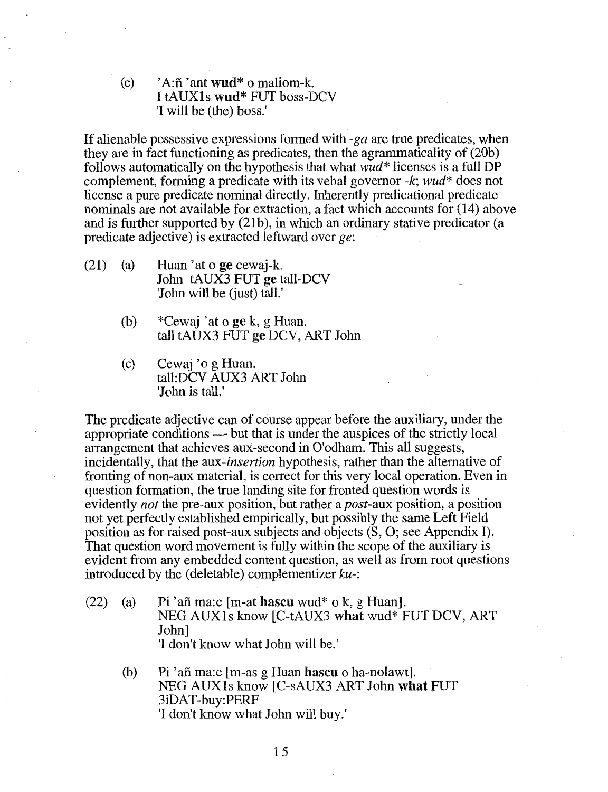(c)  $'A:\tilde{n}$  'ant wud\* o maliom-k. I tAUXls wud\* FUT boss-DCV 'I will be (the) boss.'

If alienable possessive expressions formed with -ga are true predicates, when they are in fact functioning as predicates, then the agrammaticality of (20b) follows automatically on the hypothesis that what *wud\** licenses is a full DP complement, forming a predicate with its vebal governor *-k; wud\** does not license a pure predicate nominal directly. Inherently predicational predicate nominals are not available for extraction, a fact which accounts for (14) above and is further supported by (21b), in which an ordinary stative predicator (a predicate adjective) is extracted leftward over *ge:* 

- (21) (a) Huan 'at o ge cewaj-k. John tAUX3 FUT ge tall-DCV 'John will be (just) tall.'
	- (b) \*Cewaj 'at o ge k, g Huan. tall tAUX3 FUT ge DCV, ART John
	- (c) Cewaj 'o g Huan. tall:DCV AUX3 ART John 'John is tall.'

The predicate adjective can of course appear before the auxiliary, under the appropriate conditions — but that is under the auspices of the strictly local arrangement that achieves aux-second in O'odham. This all suggests, incidentally, that the *aux-insertion* hypothesis, rather than the alternative of fronting of non-aux material, is correct for this very local operation. Even in question formation, the true landing site for fronted question words is evidently *not* the pre-aux position, but rather a *post-aux* position, a position not yet perfectly established empirically, but possibly the same Left Field position as for raised post-aux subjects and objects (S, 0; see Appendix I). That question word movement is fully within the scope of the auxiliary is evident from any embedded content question, as well as from root questions introduced by the (deletable) complementizer ku-:

- (22) (a) Pi 'afi ma:c [m-at hascu wud\* o k, g Huan]. NEG AUXls know [C-tAUX3 what wud\* FUT DCV, ART John] 'I don't know what John will be.'
	- (b) Pi 'afi ma:c [m-as g Huan hascu o ha-nolawt]. NEG AUXls know [C-sAUX3 ART John what FUT 3iDAT-buy:PERF 'I don't know what John will buy.'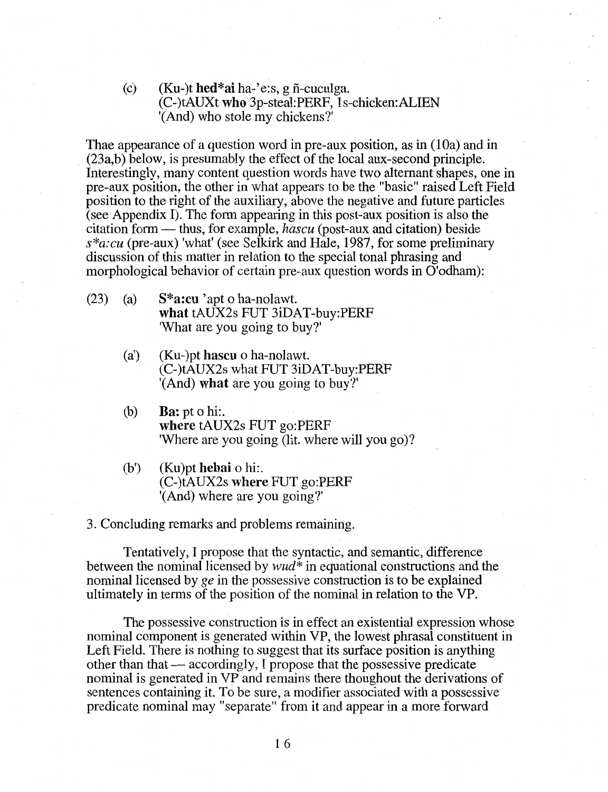(c)  $(Ku-)t \text{ hed*ai ha-'e:s, gñ-cuculga.}$ (C-)tAUXt who 3p-steal:PERF, ls-chicken:ALIEN '(And) who stole my chickens?'

Thae appearance of a question word in pre-aux position, as in (10a) and in (23a,b) below, is presumably the effect of the local aux-second principle. Interestingly, many content question words have two alternant shapes, one in pre-aux position, the other in what appears to be the "basic" raised Left Field position to the right of the auxiliary, above the negative and future particles (see Appendix I). The form appearing in this post-aux position is also the citation form - thus, for example, *hascu* (post-aux and citation) beside *s\*a:cu* (pre-aux) 'what' (see Selkirk and Hale, 1987, for some preliminary discussion of this matter in relation to the special tonal phrasing and morphological behavior of certain pre-aux question words in O'odham):

- (23) (a)  $S^*$ **a:cu** 'apt o ha-nolawt. what tAUX2s FUT 3iDAT-buy:PERF 'What are you going to buy?'
	- (a') (Ku-)pt hascu o ha-nolawt. (C-)tAUX2s what FUT 3iDAT-buy:PERF '(And) what are you going to buy?'
	- (b) Ba: pt o hi:. where tAUX2s FUT go:PERF 'Where are you going (lit. where will you go)?
	- (b') (Ku)pt hebai o hi:. (C-)tAUX2s where FUT go:PERF '(And) where are you going?'

3. Concluding remarks and problems remaining.

Tentatively, I propose that the syntactic, and semantic, difference between the nominal licensed by *wud\** in equational constructions and the nominal licensed by  $ge$  in the possessive construction is to be explained ultimately in terms of the position of the nominal in relation to the VP.

The possessive construction is in effect an existential expression whose nominal component is generated within VP, the lowest phrasal constituent in Left Field. There is nothing to suggest that its surface position is anything other than that — accordingly, I propose that the possessive predicate nominal is generated in VP and remains there thoughout the derivations of sentences containing it. To be sure, a modifier associated with a possessive predicate nominal may "separate" from it and appear in a more forward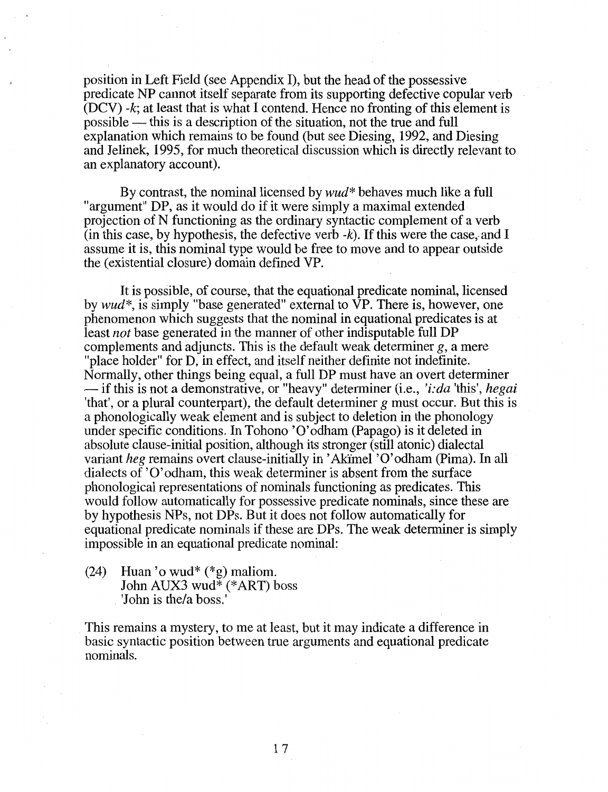position in Left Field (see Appendix I), but the head of the possessive predicate NP cannot itself separate from its supporting defective copular verb (DCV) -k; at least that is what I contend. Hence no fronting of this element is possible - this is a description of the situation, not the true and full explanation which remains to be found (but see Diesing, 1992, and Diesing and Jelinek, 1995, for much theoretical discussion which is directly relevant to an explanatory account).

By contrast, the nominal licensed by *wud\** behaves much like a full "argument" DP, as it would do if it were simply a maximal extended projection of N functioning as the ordinary syntactic complement of a verb (in this case, by hypothesis, the defective verb  $-k$ ). If this were the case, and I assume it is, this nominal type would be free to move and to appear outside the (existential closure) domain defined VP.

It is possible, of course, that the equational predicate nominal, licensed by *wud\*,* is simply "base generated" external to VP. There is, however, one phenomenon which suggests that the nominal in equational predicates is at least *not* base generated in the manner of other indisputable full DP complements and adjuncts. This is the default weak determiner  $g$ , a mere "place holder" for D, in effect, and itself neither definite not indefinite. Normally, other things being equal, a full DP must have an overt determiner - if this is not a demonstrative, or "heavy" determiner (i.e., *'i:da* 'this', *hegai*  'that', or a plural counterpart), the default determiner *g* must occur. But this is a phonologically weak element and is subject to deletion in the phonology under specific conditions. In Tohono 'O'odham (Papago) is it deleted in absolute clause-initial position, although its stronger (still atonic) dialectal variant *heg* remains overt clause-initially in' Akimel 'O'odham (Pima). In all dialects of 'O'odham, this weak determiner is absent from the surface phonological representations of nominals functioning as predicates. This would follow automatically for possessive predicate nominals, since these are by hypothesis NPs, not DPs. But it does not follow automatically for equational predicate nominals if these are DPs. The weak determiner is simply impossible in an equational predicate nominal:

(24) Huan 'o wud\* (\*g) maliom. John AUX3 wud\* (\*ART) boss 'John is the/a boss.'

This remains a mystery, to me at least, but it may indicate a difference in basic syntactic position between true arguments and equational predicate nominals.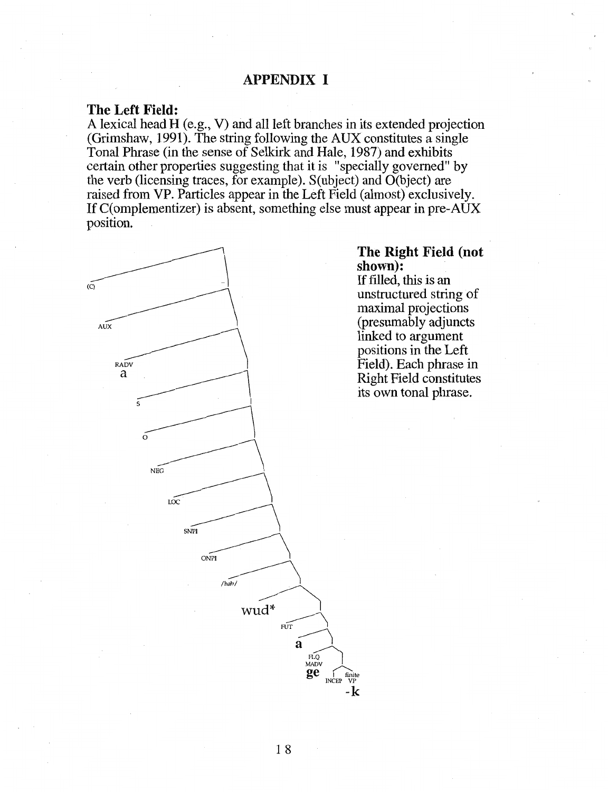# APPENDIX I

## The Left Field:

A lexical head H (e.g., V) and all left branches in its extended projection (Grimshaw, 1991). The string following the AUX constitutes a single Tonal Phrase (in the sense of Selkirk and Hale, 1987) and exhibits certain other properties suggesting that it is "specially governed" by the verb (licensing traces, for example). S(ubject) and O(bject) are raised from VP. Particles appear in the Left Field (almost) exclusively. If C(omplementizer) is absent, something else must appear in pre-AUX position.



## The Right Field (not shown):

If filled, this is an unstructured string of maximal projections (presumably adjuncts linked to argument positions in the Left Field). Each phrase in Right Field constitutes its own tonal phrase.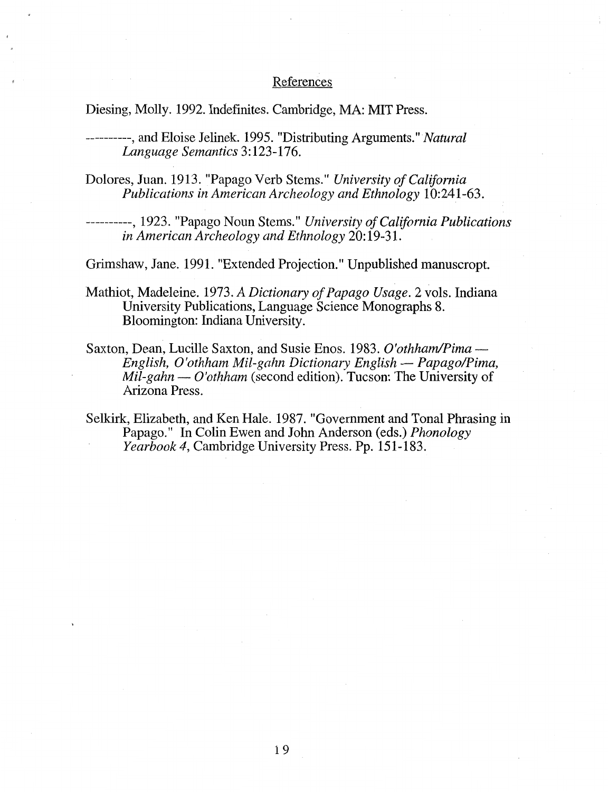## References

Diesing, Molly. 1992. Indefinites. Cambridge, MA: MIT Press.

----------,and Eloise Jelinek. 1995. "Distributing Arguments." *Natural Language Semantics* 3: 123-176.

Dolores, Juan. 1913. "Papago Verb Stems." *University of California Publications in American Archeology and Ethnology* 10:241-63.

----------, 1923. "Papago Noun Stems." *University of California Publications in American Archeology and Ethnology* 20: 19-31.

Grimshaw, Jane. 1991. "Extended Projection." Unpublished manuscropt.

- Mathiot, Madeleine. 1973. *A Dictionary of Papago Usage.* 2 vols. Indiana University Publications, Language Science Monographs 8. Bloomington: Indiana University.
- Saxton, Dean, Lucille Saxton, and Susie Enos. 1983. *O'othham/Pima English, O'othham Mil-gahn Dictionary English- Papago!Pima, Mil-gahn — O'othham* (second edition). Tucson: The University of Arizona Press.
- Selkirk, Elizabeth, and Ken Hale. 1987. "Government and Tonal Phrasing in Papago." In Colin Ewen and John Anderson (eds.) *Phonology Yearbook4,* Cambridge University Press. Pp. 151-183.